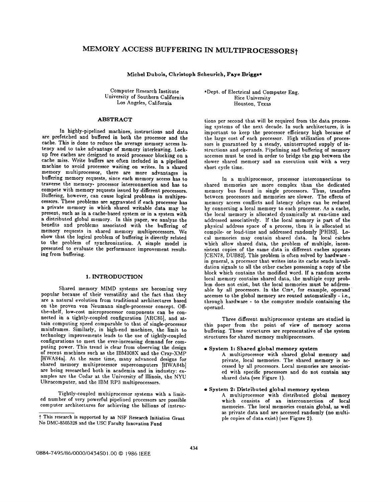# **MEMORY ACCESS BUFFERING IN MULTIPROCESSORSt**

Michel Dubois, **Chrlstoph Scheurich, Faye Briggs\*** 

Computer Research Institute University of Southern California Los Angeles, California

# ABSTRACT

In highly-pipelined machines, instructions and data are prefetched and buffered in both the processor and the cache. This is done to reduce the average memory access latency and to take advantage of memory interleaving. Lockup free caches are designed to avoid processor blocking on a cache miss. Write buffers are often included in a pipelined machine to avoid processor waiting on writes. In a shared memory multiprocessor, there are more advantages in buffering memory requests, since each memory access has to traverse the memory- processor interconnection and has to compete with memory requests issued by different processors. Buffering, however, can cause logical problems in multiprocessors. These problems are aggravated if each processor **has**  a private memory in which shared writable data may be present, such as in a cache-based system or in a system with a distributed global memory. In this paper, we analyze the benefits and problems associated with the buffering of memory requests in shared memory multiprocessors. We show that the logical problem of buffering is directly related to the problem of synchronization. A simple model is presented to evaluate the performance improvement resulting from buffering.

# 1. INTRODUCTION

Shared memory MIMD systems are becoming very popular because of their versatility and the fact that they are a natural evolution from traditional architectures based on the proven von Neumann single-processor concept. Offthe-shelf, low-cost microprocessor components can be connected in a tightly-coupled configuration [ARC85], and attain computing speed comparable to that of single-processor mainframes. Similarly, in high-end machines, the limit to technology improvements leads to the use of tightly-coupled configurations to meet the ever-increasing demand for computing power. This trend is clear from observing the design of recent machines such as the IBM308X and the Cray-XMP [HWA84a]. At the same time, many advanced designs for shared memory multiprocessor supercomputers [HWA84b] are being researched both in academia and in industry: examples are the Cedar at the University of Illinois, the NYU Ultracomputer, and the IBM RP3 multiprocessors.

Tightly-coupled multiprocessor systems with a limited number of very powerful pipelined processors are possible computer architectures for achieving the billions of instruc\*Dept. of Electrical and Computer Eng. Rice University Houston, Texas

tions per second that will be required from the data processing systems of the next decade. In such architectures, it is important to keep the processor efficiency high because of the large cost of each processor. High utilization of processors is guaranteed by a steady, uninterrupted supply of instructions and operands. Pipelining and buffering of memory accesses must be used in order to bridge the gap between the slower shared memory and an execution unit with a very short cycle time.

In a multiprocessor, processor interconnections to shared memories are more complex than the dedicated memory bus found in single processors. Thus, transfers between processors and memories are slower. The effects of memory access conflicts and latency delays can be reduced by connecting a local memory to each processor. As a cache, the local memory is allocated dynamically at run-time and addressed associatively. If the local memory is part of the physical address space of a process, then it is allocated at compile- or load-time and addressed randomly [PHI83]. Local memories may contain shared data. In local caches which allow shared data, the problem of multiple, inconsistent copies of the same data in different caches appears [CEN78, DUB82]. This problem is often solved by hardware in general, a processor that writes into its cache sends invalidation signals to all the other caches possessing a copy of the block which contains the modified word. If a random access local memory contains shared data, the multiple copy problem does not exist, but the local memories must be addressable by all processors. In the Cm\*, for example, operand accesses to the global memory are routed automatically - i.e., through hardware - to the computer module containing the operand.

Three different multiprocessor systems are studied in this paper from the point of view of memory access buffering. These structures are representative of the system structures for shared memory multiprocessors.

# **• System 1: Shared global memory system**

A multiprocessor with shared global memory **and**  private, local memories. The shared memory is accessed by all processors. Local memories are associated with specific processors and do not contain any shared data (see Figure 1).

# **• System 2: Distributed global memory system**

A multiprocessor with distributed global memory which consists of an interconnection of local memories. The local memories contain global, as well as private data and are accessed randomly (no multiple copies of data exist) (see Figure 2).

t This research is supported by an NSF Research Initiation **Grant**  No DMC-8505328 and the USC Faculty Innovation Fund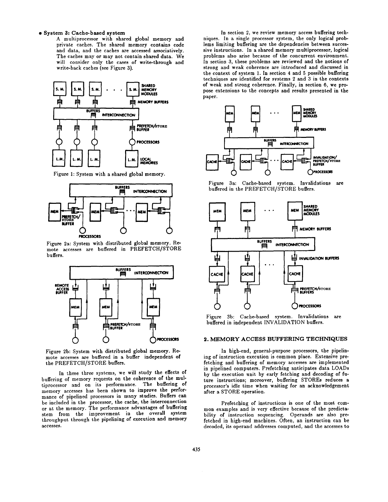#### **• System 3: Cache-based system**

A multiprocessor with shared global memory and private caches. The shared memory contains code and data, and the caches are accessed associatively. The caches may or may not contain shared data. We will consider only the cases of write-through and write-back caches (see Figure 3).



Figure 1: System with a shared global memory.



Figure 2a: System with distributed global memory. Remote accesses are buffered in PREFETCH/STORE buffers.



Figure 2b: System with distributed global memory. Remote accesses are buffered in a buffer independent of the PREFETCH/STORE buffers.

In these three systems, we will study the effects of buffering of memory requests on the coherence of the multiprocessor and on its performance. The buffering of memory accesses has been shown to improve the performance of pipelined processors in many studies. Buffers can be included in the processor, the cache, the interconnection or at the memory. The performance advantages of buffering stem from the improvement in the overall system throughput through the pipelining of execution and memory accesses.

In section 2, we review memory access buffering techniques. In a single processor system, the only logical problems limiting buffering are the dependencies between successive instructions. In a shared memory multiprocessor, logical problems also arise because of the concurrent environment. In section 3, these problems are reviewed and the notions of strong and weak coherence are introduced and discussed in the context of system 1. In section 4 and 5 possible buffering techniques are identified for systems 2 and 3 in the contexts of weak and strong coherence. Finally, in section 6, we propose extensions to the concepts and results presented in the paper.



Figure 3a: Cache-based system. Invalidations are buffered in the PREFETCH/STORE buffers.



Figure 3b: Cache-based system. Invalidations are buffered in independent INVALIDATION buffers.

## 2. MEMORY ACCESS BUFFERING TECHNIQUES

In high-end, general-purpose processors, the pipelining of instruction execution is common place. Extensive prefetching and buffering of memory accesses are implemented in pipelined computers. Prefetching anticipates data LOADs by the execution unit by early fetching and decoding of future instructions; moreover, buffering STOREs reduces a processor's idle time when waiting for an acknowledgement after a STORE operation.

Prefetching of instructions is one of the most common examples and is very effective because of the predictability of instruction sequencing. Operands are also prefetched in high-end machines. Often, an instruction can be decoded, its operand addresses computed, and the accesses to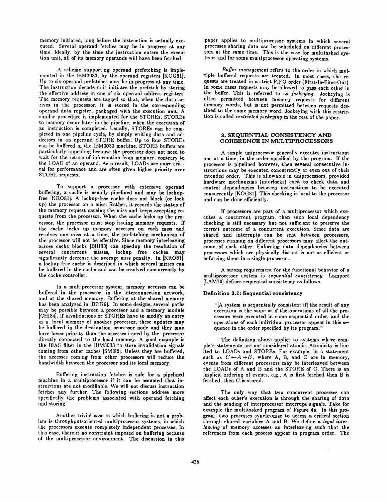memory initiated, long before the instruction is actually executed. Several operand fetches may be in progress at any time. Ideally, by the time the instruction enters the execution unit, all of its memory operands will have been fetched.

A scheme supporting operand prefetching is implemented in the IBM3033, by the operand registers [KOG81]. Up to six operand prefetehes may be in progress at any time. The instruction decode unit initiates the prefetch by storing the effective address in one of six operand address registers. The memory requests are tagged so that, when the data arrives in the processor, it is stored in the corresponding operand data register, packaged with the execution unit. A similar procedure is implemented for the STOREs. STOREs to memory occur later in the pipeline, when the execution of an instruction is completed. Usually, STOREs can be completed in one pipeline cycle, by simply writing data and addresses in an operand STORE buffer. Up to four STOREs can be buffered in the IBM3033 machine. STORE buffers are particularly appealing because the processor does not need to wait for the return of information from memory, contrary to the LOAD of an operand. As a result, LOADs are more critical for performance and are often given higher priority over STORE requests.

To support a processor with extensive operand buffering, a cache is usually pipelined and may be Iockupfree [KRO81]. A Iockup-free cache does not block (or lock up) the processor on a miss. Rather, it records the status of the memory request causing the miss and keeps accepting requests from the processor. When the cache locks up the processor, the processor must stop issuing memory requests. If the cache locks up memory accesses on each miss **and**  resolves one miss at a time, the prefetching mechanism of the processor will not be effective. Since memory interleaving across cache blocks [BRI83] can speedup the resolution of several concurrent misses, Iockup free caches may significantly decrease the average miss penalty. In [KROS1], a lockup-free cache is described in which several misses **can**  be buffered in the cache and can be resolved concurrently by the cache controller.

In a multiprocessor system, memory accesses can be buffered in the processor, in the interconnection network, and at the shared memory. Buffering at the shared memory has been analyzed in [BRI79]. In some designs, several paths may be possible between a processor and a memory module [CHI84]. If invalidations or STOREs have to modify an entry in a local memory of another processor, these updates may be buffered in the destination processor node and they may have lower priority than the accesses issued by the processor directly connected to the local memory. A good example is the BIAS filter in the IBM3033 to store invalidation signals coming from other caches [SM182]. Unless they are buffered, the accesses coming from other processors will reduce the bandwidth between the processor and its local memory.

Buffering instruction fetches is safe for a pipelined machine in a multiprocessor if it can be assumed that instructions are not. modifiable, We will not discuss instruction fetches any further. The following sections address more specifically the problems associated with operand fetching and storing.

Another trivial case in which buffering is not a problem is throughput-oriented multiprocessor systems, in which the processors execute completely independent processes. In this case, there is no constraint imposed on buffering because of the multiprocessor environment. The discussion in this paper applies to multiprocessor systems in which several processes sharing data can be scheduled on different processors at the same time. This is the case for multitasked systems and for some multiprocessor operating systems.

*Buffer management* refers to the order in which multiple buffered requests are treated. In most cases, the requests are treated in a strict FIFO order (First-ln-First-Out). In some cases requests may be allowed to pass each other in the buffer. This is referred to as *jockeying.* Jockeying is often permitted between memory requests for different memory words, hut is not permitted between requests destined to the same memory word. Jockeying with this restriction is called *restricted jockeying* in the rest of the paper.

#### 3. SEQUENTIAL CONSISTENCY AND COHERENCE IN MULTIPROCESSORS

A simple uniprocessor generally executes instructions one at a time, in the order specified by the program. If the processor is pipelined however, then several consecutive instructions may be executed concurrently or even out of their intended order. This is allowable in uniprocessors, provided hardware mechanisms (interlocks) exist to check data and control dependencies between instructions to be executed concurrently [KOG81]. This checking is local to the processor and can be done efficiently.

If processors are part of a multiprocessor which executes a concurrent program, then such local dependency checking is still necessary but not sufficient to preserve the correct outcome of a concurrent execution. Since data are shared and interrupts can be sent between processors, processes running on different processors may affect the outcome of each other. Enforcing data dependencies between processors which are physically distant is not as efficient as enforcing them in a single processor.

A strong requirement for the functional behavior of a multiprocessor system is *aequential consistency*. Lamport [LAM79] defines sequential consistency as follows.

#### **Definition 3.1: Sequential consistency**

"[A system is sequentially consistent if] the result of any execution is the same as if the operations of all the processors were executed in some sequential order, and the operations of each individual processor appear in this sequence in the order specified by its program."

The definition above applies to systems where complete statements are not considered atomic. Atomicity is limited to LOADs and STOREs. For example, in a statement such as  $C \leftarrow A + B$ , where A, B, and C are in memory, events from different processors may be interleaved between the LOADs of A and B and the STORE of C. There is an implicit ordering of events, e.g., A is first fetched then B is fetched, then C is stored.

The only way that two concurrent processes can affect each other's execution is through the sharing of data and the sending of interproeessor interrupt signals. Take for example the multitasked program of Figure 4a. In this program, two processes synchronize to access a critical section through shared variables A and B. We define a *legal interleaving* of memory accesses an interleaving such that the references from each process appear in program order. The

 $\alpha$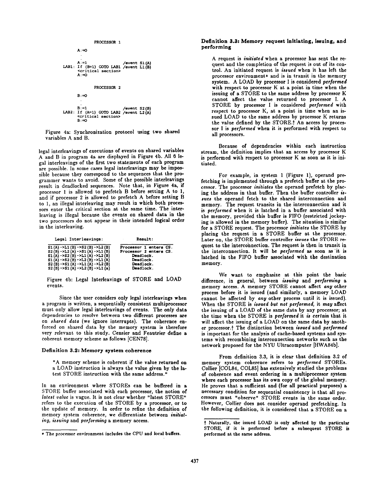

Figure 4a: Synchronization protocol using two shared variables A and B.

legal interleavings of executions of events on shared variables A and B in program 4a are displayed in Figure 4b. All 6 legal interleavings of the first two statements of each program are possible. In some cases legal interleavings may be impossible because they correspond to the sequences that the programmer wants to avoid. Some of the possible interleavings result in deadlocked sequences. Note that, in Figure 4a, if processor 1 is allowed to prefetch B before setting A to 1, and if processor 2 is allowed to prefetch A before setting B to 1, an illegal interleaving may result in which both processors enter the critical section at the same time. The interleaving is illegal because the events on shared data in the two processors do not appear in their intended logical order in the interleaving.

| Legal Interleavings:              | Result:                |  |
|-----------------------------------|------------------------|--|
| $SL(A) - SL1(B) - 52(B) - 5L2(B)$ | Processor 1 enters CS. |  |
| $S2(B) - SL2(A) - S1(A) - SL1(B)$ | Processor 2 enters CS. |  |
| $S1(A) - S2(B) - SL1(A) - SL2(B)$ | Deadlock.              |  |
| $S1(A)$ ->S2(B) ->L2(B) ->L1(A)   | Deadlock.              |  |
| $S2(B) - S1(A) - SL1(A) - SL2(B)$ | Deadlock.              |  |
| S2 (B) ->S1 (A) ->L2 (B) ->L1 (a) | Deadlock.              |  |

Figure 4b: Legal Interleavings of STORE and LOAD events.

Since the user considers only legal interleavings when a program is written, a sequentially consistent multiprocessor must only allow legal interleavings of events. The only data dependencies to resolve between two different processes are on *shared data* (we ignore interrupts). The coherence enforced on shared data by the memory system is therefore very relevant to this study. Censier and Feautrier define a coherent memory scheme as follows [CEN78].

#### **Definition 3.2: Memory system coherence**

"A memory scheme is coherent if the value returned **on**  a LOAD instruction is always the value given by the latest STORE instruction with the same address."

In an environment where STOREs can be buffered in a STORE buffer associated with each processor, the notion of *latest value* is vague. It is not clear whether "latest STORE" refers to the execution of the STORE by a processor, or to the update of memory. In order to refine the definition of memory system coherence, we differentiate between *initist. ing, issuing* and *performing* a memory access.

#### **Definition 3.3: Memory request initiating, issuing, and performing**

A request is *initiated* when a processor has sent the request and the completion of the request is out of its control. An initiated request is *issued* when it has left the processor environment\* and is in transit in the memory system. A LOAD by processor I is considered *performed*  with respect to processor K at a point in time when the issuing of a STORE to the same address by processor K cannot affect the value returned to processor I. A STORE by processor I is considered *performed* with respect to processor K, at a point in time when an issued LOAD to the same address by processor K returns the value defined by the STORE.<sup>†</sup> An access by processor I is *performed* when it is performed with respect to all processors.

Because of dependencies within each instruction stream, the definition implies that an access by processor K is performed with respect to processor K as soon as it is initiated.

For example, in system 1 (Figure 1), operand prefetching is implemented through a prefeteh buffer at the processor. The processor *initiates* the operand prefetch by placing the address in that buffer. Then the buffer controller is*sues* the operand fetch to the shared interconnection and memory. The request transits in the interconnection and it is *performed* when it is latched in a buffer associated with the memory, provided this buffer is FIFO (restricted jockeying is allowed in the memory buffer). The situation is similar for a STORE request. The processor *initiates* the STORE by placing the request in a STORE buffer at the processor. Later on, the STORE buffer controller *issues* the STORE request to the interconnection. The request is then in transit in the interconnection. It will he *performed as* soon as'it is latched in the FIFO buffer associated with the destination memory.

We want to emphasize at this point the basic difference, in general, between *issuing* and *performing a*  memory access. A memory STORE cannot affect *any* other process before it is issued (and similarly, a memory LOAD cannot be affected by *any* other process until it is issued). When the STORE is *issued but not performed,* it *may* affect the issuing of a LOAD of the same data by any processor; at the time when the STORE is *performed* it *is certain* that it will affect the issuing of a LOAD on the same data by another processor.t The distinction between *issued* and *performed*  is important for the analysis of cache-based systems and systems with recombining intereonnection networks such as the network proposed for the NYU Ultracomputer [HWA84b].

From definition 3.3, it is clear that definition 3.2 of memory system coherence refers to *performed* STOREs. Collier [COL84, COL85] has extensively studied the problems of coherence and event ordering in a multiprocessor system where each processor has its own copy of the global memory. He proves that a sufficient and (for all practical purposes) a necessary condition for sequential consistency is that all processors must "observe" STORE events in the same order. However, Collier does not consider operand prefetching. In the following definition, it is considered that a STORE on a

<sup>\*</sup> The processor environment includes the CPU and local **buffers.** 

Naturally, the issued LOAD is only affected **by the** particular STORE, if it is performed before a subsequent STORE is performed at the same address.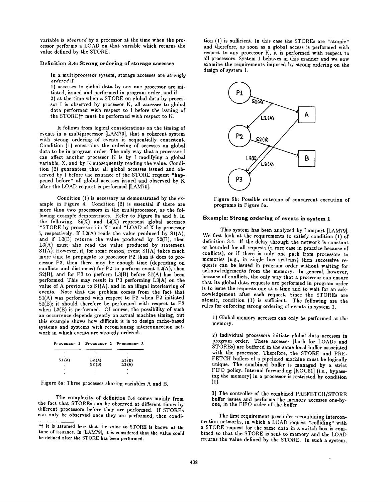variable is *observed* by a processor at the time when the processor performs a LOAD on that variable which returns the value defined by the STORE.

#### Definition 3.4: Strong ordering of **storage accesses**

In a multiprocessor system, storage accesses are *strongly ordered* if

1) accesses to global data by any one processor are initiated, issued and performed in program order, and if

2) at the time when a STORE on global data by processor I is observed by processor K, all accesses to global data performed with respect to I before the issuing of the STOREff must be performed with respect to K.

It follows from logical considerations on the timing of events in a multiprocessor [LAM79], that a coherent system with strong ordering of events is sequentially consistent. Condition (1) constrains the ordering of accesses on global data to be in program order. The only way that a processor I can affect another processor K is by I modifying a global variable, X, and by K subsequently reading the value. Condition (2) guarantees that all global accesses issued and observed by l before the issuance of the STORE request "happened before" all global accesses issued and observed by K after the LOAD request is performed [LAM79].

Condition (1) is necessary as demonstrated by the example in Figure 4. Condition (2) is essential if there are more than two processors in the multiprocessor, as the following example demonstrates. Refer to Figure 5a and b. In the following,  $Si(X)$  and  $Li(X)$  represent global accesses "STORE by processor i in X" and "LOAD of X by processor i, respectively. If L2(A) reads the value produced by SI(A), and if L3(B) returns the value produced by S2(B), then L3(A) must also read the value produced by statement  $SI(A)$ . However, if, for some reason, event  $SI(A)$  takes much more time to propagate to processor P2 than it does to pro- ¢essor P3, then there may be enough time (depending on conflicts and distances) for P2 to perform event L2(A), then S2(B), and for P3 to perform L3(B) before SI(A) has been performed. This may result in P3 performing L3(A) on the value of A previous to SI(A), and in an illegal interleaving of events. Note that the problem comes from the fact that SI(A) was performed with respect to P2 when P2 initiated S2(B); it should therefore be performed with respect to P3 when L3(B) is performed. Of course, the possibility of such an occurrence depends greatly on actual machine timing, but this example shows how difficult it is to design cache-based systems and systems with recombining interconnection network in which events arc strongly ordered.

|       | Processor 1 Processor 2 Processor 3 |                |
|-------|-------------------------------------|----------------|
|       |                                     |                |
| S1(A) | L2(A)<br>S2(B)                      | L3(B)<br>L3(A) |
|       |                                     | $\bullet$      |
|       |                                     |                |

Figure 5a: Three processes sharing variables A and B.

The complexity of definition 3.4 comes mainly from the fact that STOREs can be observed at different times by different processors before they are performed. If STOREs can only be observed once they are performed, then condi-

tion (1) is sufficient. In this case the STOREs are "atomic" and therefore, as soon as a global access is performed with respect to any processor K, it is performed with respect to all processors. System 1 behaves in this manner and we now examine the requirements imposed by strong ordering on the design of system 1.



Figure 5b: Possible outcome of concurrent execution of programs in Figure 5a.

## **Example: Strong ordering of events in system 1**

This system has been analyzed by Lamport [LAM79]. We first look at the requirements to satisfy condition (1) of definition 3.4. If the delay through the network is constant or bounded for all requests (a rare case in practice because of conflicts), or if there is only one path from processors to memories (e.g., in single bus systems) then successive requests can be issued in program order without waiting for acknowledgements from the memory. In general, however, because of conflicts, the only way that a processor can ensure that its global data requests are performed in program order is to issue the requests one at a time and to wait for an acknowledgement after each request. Since the STOREs are atomic, condition (1) is sufficient. The following are the rules for enforcing strong ordering of events in system 1.

1) Global memory accesses can only be performed at the memory.

2) Individual processors initiate global data accesses in program order. These accesses (both for LOADs and STOREs) are buffered in the same local buffer associated with the processor. Therefore, the STORE and PRE-FETCH buffers of a pipelined machine must be logically unique. The combined buffer is managed by a strict FIFO policy. Internal forwarding [KOG81] (i.e., bypassing the memory) in a processor is restricted by condition (1).

3) The controller of the combined PREFETCH/STORE buffer issues and performs the memory accesses one-byone, in the FIFO order of the buffer.

The first requirement precludes recombining interconnection networks, in which a LOAD request "colliding" with a STORE request for the same data in a switch box is combined so that the STORE is sent to memory and the LOAD returns the value defined by the STORE. In such a system,

<sup>&</sup>lt;sup>†</sup>† It is assumed here that the value to STORE is known at the time of issuance. In [LAM79], it is considered that the value could be defined after the STORE has been performed.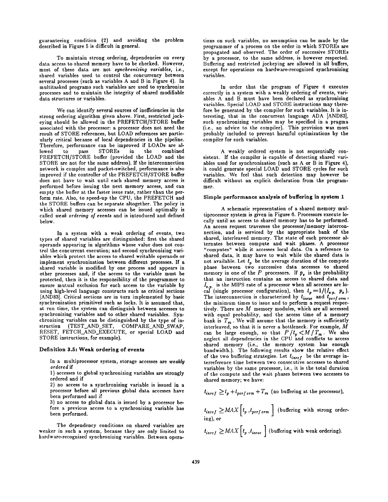guaranteeing condition (2) and avoiding the problem described in Figure 5 is difficult in general.

To maintain strong ordering, dependencies on *every*  data access to shared memory have to be checked. However, most of these data are not *synchronizing variables,* i.e., shared variables used to control the concurrency between several processes (such as variables A and B in Figure 4). In multitasked programs such variables are used to synchronize processes and to maintain the integrity of shared modifiable data structures or variables.

We can identify several sources of inefficiencies in the strong ordering algorithm given above. First, restricted jockeying should be allowed in the PREFETCH/STORE buffer associated with the processor: a processor does not need the result of STORE references, but LOAD references are particularly critical because of local dependencies in the pipeline. Therefore, performance can be improved if LOADs are allowed to pass STOREs in the combined PREFETCH/STORE buffer (provided the LOAD and the STORE are not for the same address). If the intereonnection network is complex and packet-switched, performance is also improved if the controller of the PREFETCH/STORE buffer does not have to wait until each shared memory access is performed before issuing the next memory access, and can empty the buffer at the faster issue rate, rather than the perform rate. Also, to speed-up the CPU, the PREFETCH and the STORE buffers can be separate altogether. The policy in which shared memory accesses can be issued optimally is called *weak ordering of events* and is introduced and defined below.

In a system with a weak ordering of events, two types of shared variables are distinguished: first the shared operands appearing in algorithms whose value does not control the concurrent execution; and second synchronizing variables which protect the access to shared writable operands or implement synchronization between different processes. If a shared variable is modified by one process and appears in other processes and, if the access to the variable must be protected, then it is the responsibility of the programmer to ensure mutual exclusion for each access to the variable by using high-level language constructs such as critical sections [AND83]. Critical sections are in turn implemented by basic synchronization primitives such as locks. It is assumed that, at run time, the system can distinguish between accesses to synchronizing variables and to other shared variables. Synchronizing variables can be distinguished by the type of instruction (TEST\_AND\_SET, COMPARE\_AND\_SWAP, RESET, FETCH\_AND\_EXECUTE, or special LOAD and STORE instructions, for example).

#### **Definition 3.5: Weak ordering of events**

In a multiprocessor system, storage accesses are *weakly ordered* if

1) accesses to global synchronizing variables are strongly ordered and if

2) no access to a synchronizing variable is issued in a processor before all previous global data accesses have been performed and if

3) no access to global data is issued by a processor before a previous access to a synchronizing variable has been performed.

The dependency conditions on shared variables are weaker in such a system, because they are only limited to hardware-recognized synchronizing variables. Between operations on such variables, no assumption can be made by the programmer of a process on the order in which STOREs are propagated and observed. The order of successive STOREs by a processor, to the same address, is however respected. Buffering and restricted jockeying are allowed in all buffers, except for operations on hardware-recognized synchronizing variables.

In order that the program of Figure 4 executes correctly in a system with a weakly ordering of events, variables A and B must have been declared as synchronizing variables. Special LOAD and STORE instructions may therefore be generated by the compiler for such variables. It is interesting, that in the concurrent language ADA lAND83], such synchronizing variables may be specified in a pragma (i.e., an advice to the compiler). This provision was most probably included to prevent harmful optimizations by the compiler for such variables.

A weakly ordered system is not sequentially consistent. If the compiler is capable of detecting shared variables used for synchronization (such as A or B in Figure 4), it could generate special LOAD and STORE cycles for such variables. We feel that such detection may however be difficult without an explicit declaration from the programmer.

#### **Simple performance analysis of buffering in system 1**

A schematic representation of a shared memory multiprocessor system is given in Figure 6. Processors execute locally until an access to shared memory has to he performed. An access request traverses the processor/memory intereonneetion, and is serviced by the appropriate bank of the shared, interleaved memory. The state of each processor alternates between compute and wait phases. A processor "computes" while it accesses local data. On a reference to shared data, it may have to wait while the shared data is not available. Let  $t_p$  be the average duration of the compute phase between two successive data accesses to shared memory in one of the  $P$  processors. If  $p_{\star}$  is the probability that an instruction contains an access to shared data and  $I_{\epsilon n}$  is the MIPS rate of a processor when all accesses are local (single processor configuration), then  $t_p = 1/(I_{e,p}, p_e).$ The interconnection is characterized by  $t_{isque}$  and  $t_{perf}$ , the minimum times to issue and to perform a request respectively. There are  $M$  memory modules, which are all accessed with equal probability, and the access time of a memory bank is  $T_m$ . We will assume that the memory is sufficiently interleaved, so that it is never a bottleneck. For example, M can be large enough, so that  $P/t_n < M/T_m$ . We also neglect all dependencies in the CPU and conflicts to access shared memory (i.e., the memory system has enough bandwidth.). The following results show the relative effect of the two buffering strategies. Let  $t_{inref}$  be the average interreference time between two consecutive accesses to shared variables by the same processor, i.e., it is the total duration of the compute and the wait phases between two accesses to shared memory; we have:

$$
t_{inref} \geq t_p + t_{perf\ orm} + T_m
$$
 (no buffering at the processor),

$$
t_{\text{inref}} \geq MAX \left[ t_p, t_{\text{perf or } m} \right] \text{ (buffering with strong ordering), or}
$$

$$
t_{\text{inref}} \geq MAX \Big[ t_p \,, t_{\text{isque}} \Big] \text{ (buffering with weak ordering).}
$$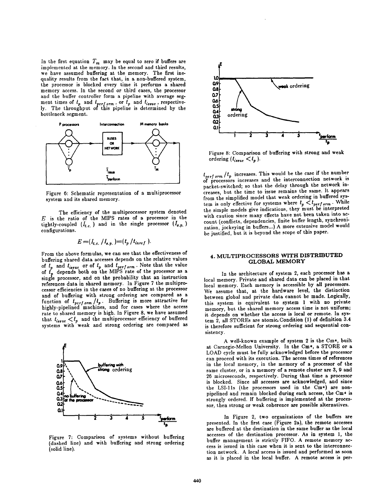In the first equation  $T_m$  may be equal to zero if buffers are implemented at the memory. In the second and third results, we have assumed buffering at the memory. The first inequality results from the fact that, in a non-buffered system, the processor is blocked every time it performs a shared memory access. In the second or third cases, the processor and the buffer controller form a pipeline with average segment times of  $t_p$  and  $t_{perf,orm}$ , or  $t_p$  and  $t_{isque}$ , respective-<br>ly. The throughput of this pipeline is determined by the bottleneck segment.



Figure 6: Schematic representation of a multiprocessor system and its shared memory.

The efficiency of the multiprocessor system denoted  $E$  is the ratio of the MIPS rates of a processor in the tightly-coupled  $(I_{t.c.})$  and in the single processor  $(I_{s.p.})$ configurations.

$$
E = (I_{t,c.} / I_{s.p.}) = (t_p / t_{inref}).
$$

From the above formulas, we can see that the effectiveness of buffering shared data accesses depends on the relative values of  $t_p$  and  $t_{isque}$  or of  $t_p$  and  $t_{perform}$ . Note that the value of  $t_n$  depends both on the MIPS rate of the processor as a single processor, and on the probability that an instruction references data in shared memory. In Figure 7 the multiprocessor efficiencies in the cases of no buffering at the processor and of buffering with strong ordering are compared as a function of *t<sub>perform</sub>* /*t<sub>p</sub>*. Buffering is more attractive for<br>highly-pipelined machines, and for cases where the access rate to shared memory is high. In Figure 8, we have assumed that  $t_{new} \leq t_p$  and the multiprocessor efficiency of buffered systems with weak and strong ordering are compared as



Figure 7: Comparison of systems without buffering (dashed line) and with buffering and strong ordering {solid line).



Figure 8: Comparison of buffering with strong and weak ordering  $(t_{isque} < t_p)$ .

 $t_{\text{post,orm}}/t_p$  increases. This would be the case if the number of processors increases and the interconnection network is packet-switched; so that the delay through the network increases, but the time to issue remains the same. It appears from the simplified model that weak ordering in buffered system is only effective for systems where  $t_p < t_{perform}$ . While the simple models give indications, they must be interpreted with caution since many effects have not been taken into account (conflicts, dependencies, finite buffer length, synchronization, jockeying in buffers...) A more extensive model would be justified, but it is beyond the scope of this paper.

# 4. MULTIPROCESSORS WITH DISTRIBUTED GLOBAL MEMORY

In the architecture of system 2, each processor has a local memory. Private and shared data can be placed in that local memory. Each memory is accessible by all processors. We assume that, at the hardware level, the distinction between global and private data cannot be made. Logically, this system is equivalent to system 1 with no private memory, but the shared memory access time is not uniform; it depends on whether the access is local or remote. In system 2, all STOREs are atomic. Condition (1) of definition 3.4 is therefore sufficient for strong ordering and sequential consistency.

A well-known example of system 2 is the Cm\*, built at Carnegie-Mellon University. In the Cm\*, a STORE or a LOAD cycle must be fully acknowledged before the processor can proceed with its execution. The access times of references in the local memory, in the memory of a processor of the same duster, or in a memory of a remote cluster are 3, 9 and 26 microseconds, respectively. During that time a processor is blocked. Since all accesses are acknowledged, and since the LSI-11s (the processors used in the Cm\*) are nonpipelined and remain blocked during each access, the Cm\* is strongly ordered. If buffering is implemented at the processor, then strong or weak coherence are possible alternatives.

In Figure 2, two organizations of the buffers are presented. In the first case {Figure 2a), the remote accesses are buffered at the destination in the same buffer as the local accesses of the destination processor. As in system 1, the buffer management is strictly FIFO. A remote memory access is issued in this case when it is sent to the interconnection network. A local access is issued and performed as soon as it is placed in the local buffer. A remote access is per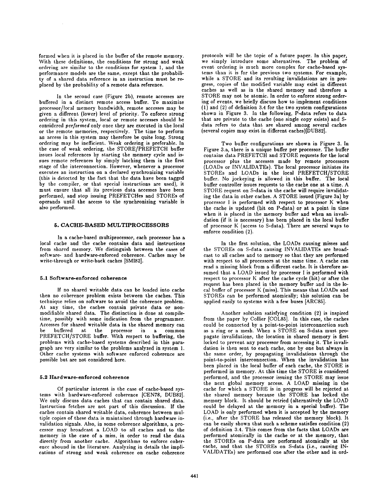formed when it is placed in the buffer of the remote memory. With these definitions, the conditions for strong and weak ordering are similar to the conditions for system l, and the performance models are the same, except that the probability of a shared data reference in an instruction must be replaced by the probability of a remote data reference.

In the second case (Figure 2b), remote accesses are buffered in a distinct remote access buffer. To maximize *processor/local* memory bandwidth, remote accesses may be given a different (lower) level of priority. To enforce strong ordering in this system, local or remote accesses should be considered *performed* only once they are executed in the local or the remote memories, respectively. The time to perform an access in this system may therefore be quite long. Strong ordering may be inefficient. Weak ordering is preferable. In the case of weak ordering, the STORE/PREFETCH buffer issues local references by starting the memory cycle and issues remote references by simply latching them in the first stage of the interconnection. However, whenever a processor executes an instruction on a declared synchronizing variable (this is detected by the fact that the data have been tagged by the compiler, or that special instructions are used), it must ensure that all its previous data accesses have been performed, and stop issuing PREFETCHes and STOREs of operands until the access to the synchronizing variable is also performed.

# 6. CACHE-BASED MULTIPROCESSORS

In a cache-based multiprocessor, each processor has a local cache and the cache contains data and instructions from shared memory. We distinguish between the cases of software- and hardware-enforced coherence. Caches may be write-through or write-back caches [SMI82].

#### 5.1 Software-enforced **coherence**

If no shared writable data can be loaded into cache then no coherence problem exists between the caches. This technique relies on software to avoid the coherence problem. At any time, the caches contain private data or nonmodifiable shared data. The distinction is done at compiletime, possibly with some indication from the programmer. Accesses for shared writable data in the shared memory can<br>be buffered at the processor in a common be buffered at the processor in a common PREFETCH/STORE buffer. With respect to buffering, the problems with cache-based systems described in this paragraph are very similar to the problems analyzed in system 1. Other cache systems with software enforced coherence are possible but are not considered here.

# **5.2 Hardware-enforced coherence**

Of particular interest is the case of cache-based systems with hardware-enforced coherence [CEN78, DUB82]. We only discuss data caches that can contain shared data. Instruction fetches are not part of this discussion. If the caches contain shared writable data, coherence between multiple copies of these data is maintained through hardware invalidation signals. Also, in some coherence algorithms, a processor may broadcast a LOAD to all caches and to the memory in the case of a miss, in order to read the data directly from another cache. Algorithms to enforce coherence abound in the literature. Analyzing in details the implications of strong and weak coherence on cache coherence

protocols will be the topic of a future paper. In this paper, we simply introduce some alternatives. The problem of event ordering is much more complex for cache-based systems than it is for the previous two systems. For example, while a STORE and its resulting invalidations are in progress, copies of the modified variable may exist in different caches as well as in the shared memory and therefore a STORE may not be atomic. In order to enforce strong ordering of events, we briefly discuss how to implement conditions  $(1)$  and  $(2)$  of definition 3.4 for the two system configurations shown in Figure 3. In the following, P-data refers to data that are private to the cache (one single copy exists) and Sdata refers to data that are shared among several caches (several copies may exist in different caches)[DUB82].

Two buffer configurations are shown in Figure 3. In Figure 3.a, there is a unique buffer per processor. The buffer contains data PREFETCH and STORE requests for the local processor plus the accesses made by remote processors (LOADs or INVALIDATEs). The local processor initiates its STOREs and LOADs in the local PREFETCH/STORE buffer. No jockeying is allowed in this buffer. The local buffer controller issues requests to the cache one at a time. A STORE request on S-data in the cache will require invalidating the data in other caches. A STORE issued (Figure 3a) by processor I is performed with respect to processor K when the cache is updated (hit on P-data) or at a point in time when it is placed in the memory buffer and when an invalidation (if it is necessary) has been placed in the local buffer of processor K (access to S-data). There are several ways to enforce condition (2).

In the first solution, the LOADs causing misses and the STOREs on S-data causing INVALIDATEs are broadcast to all caches and to memory so that they are performed with respect to all processors at the same time. A cache can read a missing block from a different cache. It is therefore assumed that a LOAD issued by processor I is performed with respect to processor K after the cache cycle (hit) or after **the**  request has been placed in the memory buffer and in the local buffer of processor K (miss). This means that LOADs and STOREs can be performed atomically; this solution can be applied easily to systems with a few buses [ARC85].

Another solution satisfying condition (2) is inspired from the paper by Collier [COL85]. In this case, the caches could be connected by a point-to-point interconnection such as a ring or a mesh. When a STORE on S-data must propagate invalidations, the location in shared memory is first locked to prevent any processor from accessing it. The invalidation is then sent to each cache, one by one but always in the same order, by propagating invalidations through the point-to-point interconnection. When the invalidation has been placed in the local buffer of each cache, the STORE is performed in memory. At this time the STORE is considered performed, and the processor issuing the STORE may issue the next global memory access. A LOAD missing in the cache for which a STORE is in progress will be rejected at the shared memory because the STORE has locked the memory block. It should be retried (alternatively the LOAD could be delayed at the memory in a special buffer). The LOAD is only performed when it is accepted by the memory (i.e., after the STORE has released the memory block). It can he easily shown that such a scheme satisfies condition (2) of definition 3.4. This comes from the facts that LOADs are performed atomically in the cache or at the memory, that the STOREs on P-data are performed atomically at the cache, and that the STOREs on S-data (i.e., causing IN-VALIDATEs) are performed one after the other and in ord